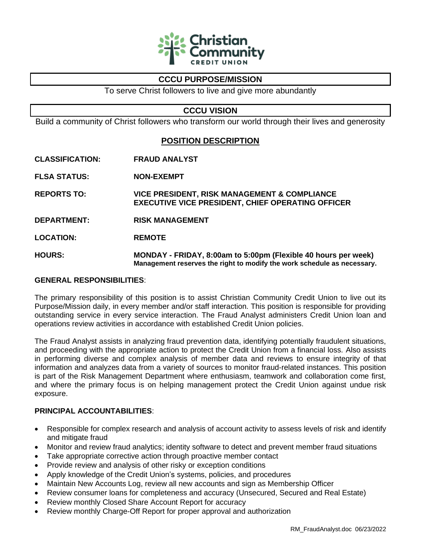

# **CCCU PURPOSE/MISSION**

To serve Christ followers to live and give more abundantly

## **CCCU VISION**

Build a community of Christ followers who transform our world through their lives and generosity

# **POSITION DESCRIPTION**

- **CLASSIFICATION: FRAUD ANALYST**
- **FLSA STATUS: NON-EXEMPT**
- **REPORTS TO: VICE PRESIDENT, RISK MANAGEMENT & COMPLIANCE EXECUTIVE VICE PRESIDENT, CHIEF OPERATING OFFICER**
- **DEPARTMENT: RISK MANAGEMENT**
- **LOCATION: REMOTE**
- **HOURS: MONDAY - FRIDAY, 8:00am to 5:00pm (Flexible 40 hours per week) Management reserves the right to modify the work schedule as necessary.**

### **GENERAL RESPONSIBILITIES**:

The primary responsibility of this position is to assist Christian Community Credit Union to live out its Purpose/Mission daily, in every member and/or staff interaction. This position is responsible for providing outstanding service in every service interaction. The Fraud Analyst administers Credit Union loan and operations review activities in accordance with established Credit Union policies.

The Fraud Analyst assists in analyzing fraud prevention data, identifying potentially fraudulent situations, and proceeding with the appropriate action to protect the Credit Union from a financial loss. Also assists in performing diverse and complex analysis of member data and reviews to ensure integrity of that information and analyzes data from a variety of sources to monitor fraud-related instances. This position is part of the Risk Management Department where enthusiasm, teamwork and collaboration come first, and where the primary focus is on helping management protect the Credit Union against undue risk exposure.

## **PRINCIPAL ACCOUNTABILITIES**:

- Responsible for complex research and analysis of account activity to assess levels of risk and identify and mitigate fraud
- Monitor and review fraud analytics; identity software to detect and prevent member fraud situations
- Take appropriate corrective action through proactive member contact
- Provide review and analysis of other risky or exception conditions
- Apply knowledge of the Credit Union's systems, policies, and procedures
- Maintain New Accounts Log, review all new accounts and sign as Membership Officer
- Review consumer loans for completeness and accuracy (Unsecured, Secured and Real Estate)
- Review monthly Closed Share Account Report for accuracy
- Review monthly Charge-Off Report for proper approval and authorization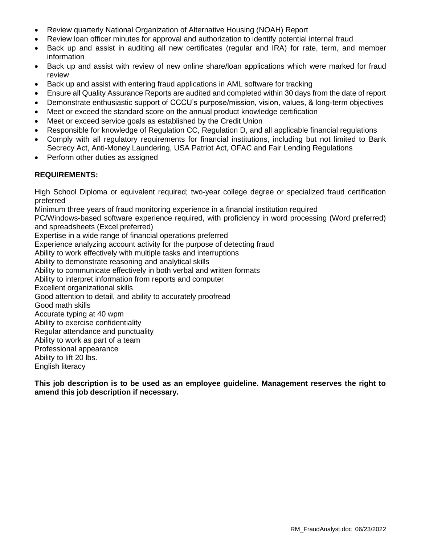- Review quarterly National Organization of Alternative Housing (NOAH) Report
- Review loan officer minutes for approval and authorization to identify potential internal fraud
- Back up and assist in auditing all new certificates (regular and IRA) for rate, term, and member information
- Back up and assist with review of new online share/loan applications which were marked for fraud review
- Back up and assist with entering fraud applications in AML software for tracking
- Ensure all Quality Assurance Reports are audited and completed within 30 days from the date of report
- Demonstrate enthusiastic support of CCCU's purpose/mission, vision, values, & long-term objectives
- Meet or exceed the standard score on the annual product knowledge certification
- Meet or exceed service goals as established by the Credit Union
- Responsible for knowledge of Regulation CC, Regulation D, and all applicable financial regulations
- Comply with all regulatory requirements for financial institutions, including but not limited to Bank Secrecy Act, Anti-Money Laundering, USA Patriot Act, OFAC and Fair Lending Regulations
- Perform other duties as assigned

## **REQUIREMENTS:**

High School Diploma or equivalent required; two-year college degree or specialized fraud certification preferred

Minimum three years of fraud monitoring experience in a financial institution required

PC/Windows-based software experience required, with proficiency in word processing (Word preferred) and spreadsheets (Excel preferred)

Expertise in a wide range of financial operations preferred

Experience analyzing account activity for the purpose of detecting fraud

Ability to work effectively with multiple tasks and interruptions

Ability to demonstrate reasoning and analytical skills

Ability to communicate effectively in both verbal and written formats

Ability to interpret information from reports and computer

Excellent organizational skills

Good attention to detail, and ability to accurately proofread

Good math skills

Accurate typing at 40 wpm

Ability to exercise confidentiality

Regular attendance and punctuality

Ability to work as part of a team

Professional appearance

Ability to lift 20 lbs.

English literacy

**This job description is to be used as an employee guideline. Management reserves the right to amend this job description if necessary.**